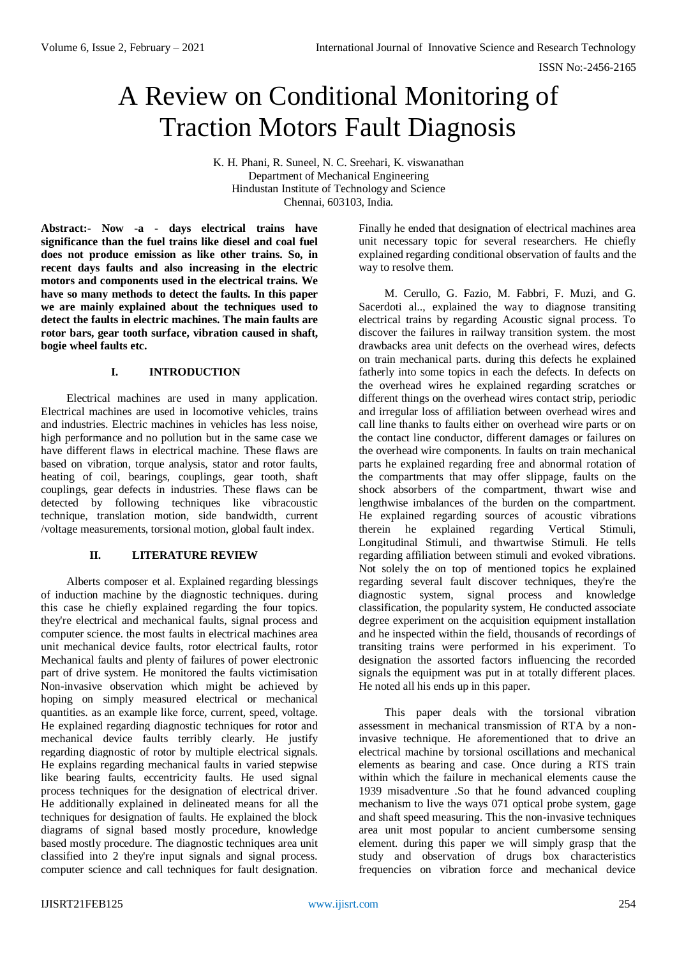# A Review on Conditional Monitoring of Traction Motors Fault Diagnosis

K. H. Phani, R. Suneel, N. C. Sreehari, K. viswanathan Department of Mechanical Engineering Hindustan Institute of Technology and Science Chennai, 603103, India.

**Abstract:- Now -a - days electrical trains have significance than the fuel trains like diesel and coal fuel does not produce emission as like other trains. So, in recent days faults and also increasing in the electric motors and components used in the electrical trains. We have so many methods to detect the faults. In this paper we are mainly explained about the techniques used to detect the faults in electric machines. The main faults are rotor bars, gear tooth surface, vibration caused in shaft, bogie wheel faults etc.** 

## **I. INTRODUCTION**

Electrical machines are used in many application. Electrical machines are used in locomotive vehicles, trains and industries. Electric machines in vehicles has less noise, high performance and no pollution but in the same case we have different flaws in electrical machine. These flaws are based on vibration, torque analysis, stator and rotor faults, heating of coil, bearings, couplings, gear tooth, shaft couplings, gear defects in industries. These flaws can be detected by following techniques like vibracoustic technique, translation motion, side bandwidth, current /voltage measurements, torsional motion, global fault index.

## **II. LITERATURE REVIEW**

Alberts composer et al. Explained regarding blessings of induction machine by the diagnostic techniques. during this case he chiefly explained regarding the four topics. they're electrical and mechanical faults, signal process and computer science. the most faults in electrical machines area unit mechanical device faults, rotor electrical faults, rotor Mechanical faults and plenty of failures of power electronic part of drive system. He monitored the faults victimisation Non-invasive observation which might be achieved by hoping on simply measured electrical or mechanical quantities. as an example like force, current, speed, voltage. He explained regarding diagnostic techniques for rotor and mechanical device faults terribly clearly. He justify regarding diagnostic of rotor by multiple electrical signals. He explains regarding mechanical faults in varied stepwise like bearing faults, eccentricity faults. He used signal process techniques for the designation of electrical driver. He additionally explained in delineated means for all the techniques for designation of faults. He explained the block diagrams of signal based mostly procedure, knowledge based mostly procedure. The diagnostic techniques area unit classified into 2 they're input signals and signal process. computer science and call techniques for fault designation.

Finally he ended that designation of electrical machines area unit necessary topic for several researchers. He chiefly explained regarding conditional observation of faults and the way to resolve them.

M. Cerullo, G. Fazio, M. Fabbri, F. Muzi, and G. Sacerdoti al... explained the way to diagnose transiting electrical trains by regarding Acoustic signal process. To discover the failures in railway transition system. the most drawbacks area unit defects on the overhead wires, defects on train mechanical parts. during this defects he explained fatherly into some topics in each the defects. In defects on the overhead wires he explained regarding scratches or different things on the overhead wires contact strip, periodic and irregular loss of affiliation between overhead wires and call line thanks to faults either on overhead wire parts or on the contact line conductor, different damages or failures on the overhead wire components. In faults on train mechanical parts he explained regarding free and abnormal rotation of the compartments that may offer slippage, faults on the shock absorbers of the compartment, thwart wise and lengthwise imbalances of the burden on the compartment. He explained regarding sources of acoustic vibrations therein he explained regarding Vertical Stimuli, Longitudinal Stimuli, and thwartwise Stimuli. He tells regarding affiliation between stimuli and evoked vibrations. Not solely the on top of mentioned topics he explained regarding several fault discover techniques, they're the diagnostic system, signal process and knowledge classification, the popularity system, He conducted associate degree experiment on the acquisition equipment installation and he inspected within the field, thousands of recordings of transiting trains were performed in his experiment. To designation the assorted factors influencing the recorded signals the equipment was put in at totally different places. He noted all his ends up in this paper.

This paper deals with the torsional vibration assessment in mechanical transmission of RTA by a noninvasive technique. He aforementioned that to drive an electrical machine by torsional oscillations and mechanical elements as bearing and case. Once during a RTS train within which the failure in mechanical elements cause the 1939 misadventure .So that he found advanced coupling mechanism to live the ways 071 optical probe system, gage and shaft speed measuring. This the non-invasive techniques area unit most popular to ancient cumbersome sensing element. during this paper we will simply grasp that the study and observation of drugs box characteristics frequencies on vibration force and mechanical device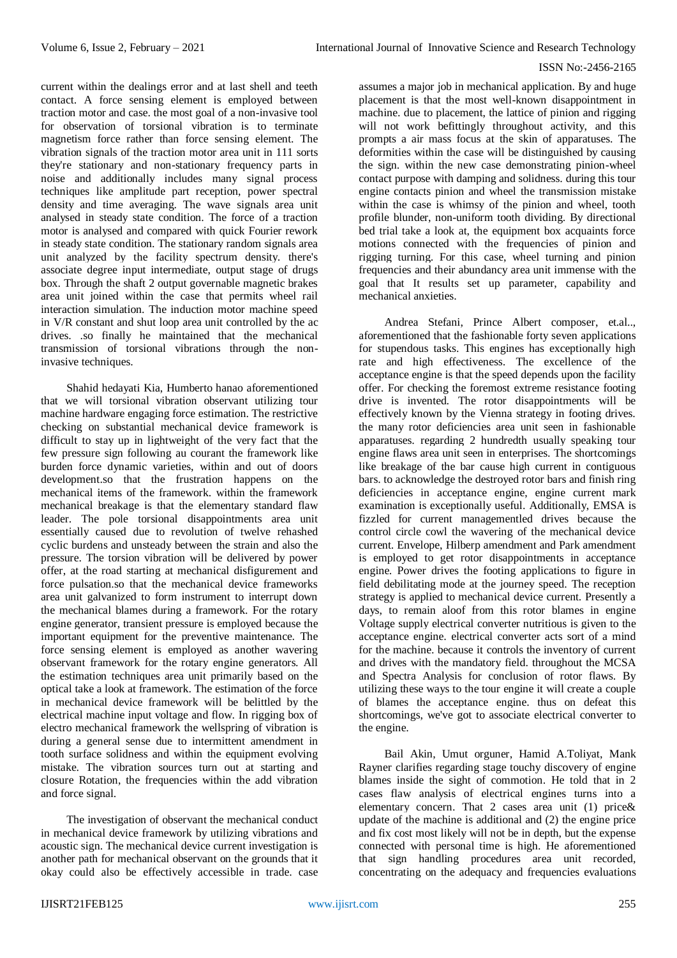current within the dealings error and at last shell and teeth contact. A force sensing element is employed between traction motor and case. the most goal of a non-invasive tool for observation of torsional vibration is to terminate magnetism force rather than force sensing element. The vibration signals of the traction motor area unit in 111 sorts they're stationary and non-stationary frequency parts in noise and additionally includes many signal process techniques like amplitude part reception, power spectral density and time averaging. The wave signals area unit analysed in steady state condition. The force of a traction motor is analysed and compared with quick Fourier rework in steady state condition. The stationary random signals area unit analyzed by the facility spectrum density. there's associate degree input intermediate, output stage of drugs box. Through the shaft 2 output governable magnetic brakes area unit joined within the case that permits wheel rail interaction simulation. The induction motor machine speed in V/R constant and shut loop area unit controlled by the ac drives. .so finally he maintained that the mechanical transmission of torsional vibrations through the noninvasive techniques.

Shahid hedayati Kia, Humberto hanao aforementioned that we will torsional vibration observant utilizing tour machine hardware engaging force estimation. The restrictive checking on substantial mechanical device framework is difficult to stay up in lightweight of the very fact that the few pressure sign following au courant the framework like burden force dynamic varieties, within and out of doors development.so that the frustration happens on the mechanical items of the framework. within the framework mechanical breakage is that the elementary standard flaw leader. The pole torsional disappointments area unit essentially caused due to revolution of twelve rehashed cyclic burdens and unsteady between the strain and also the pressure. The torsion vibration will be delivered by power offer, at the road starting at mechanical disfigurement and force pulsation.so that the mechanical device frameworks area unit galvanized to form instrument to interrupt down the mechanical blames during a framework. For the rotary engine generator, transient pressure is employed because the important equipment for the preventive maintenance. The force sensing element is employed as another wavering observant framework for the rotary engine generators. All the estimation techniques area unit primarily based on the optical take a look at framework. The estimation of the force in mechanical device framework will be belittled by the electrical machine input voltage and flow. In rigging box of electro mechanical framework the wellspring of vibration is during a general sense due to intermittent amendment in tooth surface solidness and within the equipment evolving mistake. The vibration sources turn out at starting and closure Rotation, the frequencies within the add vibration and force signal.

The investigation of observant the mechanical conduct in mechanical device framework by utilizing vibrations and acoustic sign. The mechanical device current investigation is another path for mechanical observant on the grounds that it okay could also be effectively accessible in trade. case

assumes a major job in mechanical application. By and huge placement is that the most well-known disappointment in machine. due to placement, the lattice of pinion and rigging will not work befittingly throughout activity, and this prompts a air mass focus at the skin of apparatuses. The deformities within the case will be distinguished by causing the sign. within the new case demonstrating pinion-wheel contact purpose with damping and solidness. during this tour engine contacts pinion and wheel the transmission mistake within the case is whimsy of the pinion and wheel, tooth profile blunder, non-uniform tooth dividing. By directional bed trial take a look at, the equipment box acquaints force motions connected with the frequencies of pinion and rigging turning. For this case, wheel turning and pinion frequencies and their abundancy area unit immense with the goal that It results set up parameter, capability and mechanical anxieties.

Andrea Stefani, Prince Albert composer, et.al.., aforementioned that the fashionable forty seven applications for stupendous tasks. This engines has exceptionally high rate and high effectiveness. The excellence of the acceptance engine is that the speed depends upon the facility offer. For checking the foremost extreme resistance footing drive is invented. The rotor disappointments will be effectively known by the Vienna strategy in footing drives. the many rotor deficiencies area unit seen in fashionable apparatuses. regarding 2 hundredth usually speaking tour engine flaws area unit seen in enterprises. The shortcomings like breakage of the bar cause high current in contiguous bars. to acknowledge the destroyed rotor bars and finish ring deficiencies in acceptance engine, engine current mark examination is exceptionally useful. Additionally, EMSA is fizzled for current managementled drives because the control circle cowl the wavering of the mechanical device current. Envelope, Hilberp amendment and Park amendment is employed to get rotor disappointments in acceptance engine. Power drives the footing applications to figure in field debilitating mode at the journey speed. The reception strategy is applied to mechanical device current. Presently a days, to remain aloof from this rotor blames in engine Voltage supply electrical converter nutritious is given to the acceptance engine. electrical converter acts sort of a mind for the machine. because it controls the inventory of current and drives with the mandatory field. throughout the MCSA and Spectra Analysis for conclusion of rotor flaws. By utilizing these ways to the tour engine it will create a couple of blames the acceptance engine. thus on defeat this shortcomings, we've got to associate electrical converter to the engine.

Bail Akin, Umut orguner, Hamid A.Toliyat, Mank Rayner clarifies regarding stage touchy discovery of engine blames inside the sight of commotion. He told that in 2 cases flaw analysis of electrical engines turns into a elementary concern. That 2 cases area unit (1) price& update of the machine is additional and (2) the engine price and fix cost most likely will not be in depth, but the expense connected with personal time is high. He aforementioned that sign handling procedures area unit recorded, concentrating on the adequacy and frequencies evaluations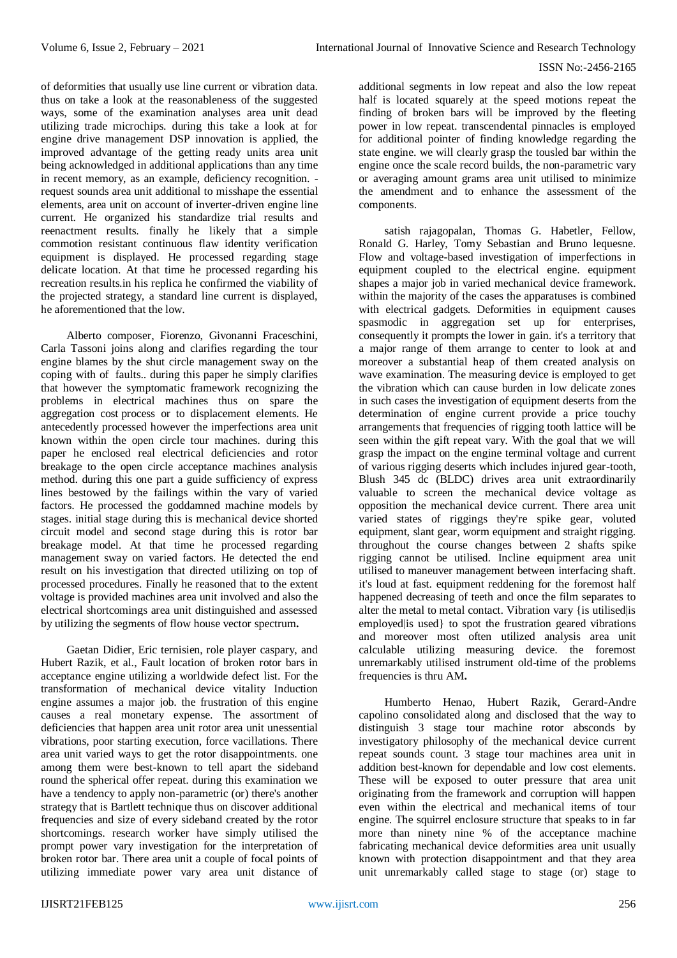of deformities that usually use line current or vibration data. thus on take a look at the reasonableness of the suggested ways, some of the examination analyses area unit dead utilizing trade microchips. during this take a look at for engine drive management DSP innovation is applied, the improved advantage of the getting ready units area unit being acknowledged in additional applications than any time in recent memory, as an example, deficiency recognition. request sounds area unit additional to misshape the essential elements, area unit on account of inverter-driven engine line current. He organized his standardize trial results and reenactment results. finally he likely that a simple commotion resistant continuous flaw identity verification equipment is displayed. He processed regarding stage delicate location. At that time he processed regarding his recreation results.in his replica he confirmed the viability of the projected strategy, a standard line current is displayed, he aforementioned that the low.

Alberto composer, Fiorenzo, Givonanni Fraceschini, Carla Tassoni joins along and clarifies regarding the tour engine blames by the shut circle management sway on the coping with of faults.. during this paper he simply clarifies that however the symptomatic framework recognizing the problems in electrical machines thus on spare the aggregation cost process or to displacement elements. He antecedently processed however the imperfections area unit known within the open circle tour machines. during this paper he enclosed real electrical deficiencies and rotor breakage to the open circle acceptance machines analysis method. during this one part a guide sufficiency of express lines bestowed by the failings within the vary of varied factors. He processed the goddamned machine models by stages. initial stage during this is mechanical device shorted circuit model and second stage during this is rotor bar breakage model. At that time he processed regarding management sway on varied factors. He detected the end result on his investigation that directed utilizing on top of processed procedures. Finally he reasoned that to the extent voltage is provided machines area unit involved and also the electrical shortcomings area unit distinguished and assessed by utilizing the segments of flow house vector spectrum**.**

Gaetan Didier, Eric ternisien, role player caspary, and Hubert Razik, et al., Fault location of broken rotor bars in acceptance engine utilizing a worldwide defect list. For the transformation of mechanical device vitality Induction engine assumes a major job. the frustration of this engine causes a real monetary expense. The assortment of deficiencies that happen area unit rotor area unit unessential vibrations, poor starting execution, force vacillations. There area unit varied ways to get the rotor disappointments. one among them were best-known to tell apart the sideband round the spherical offer repeat. during this examination we have a tendency to apply non-parametric (or) there's another strategy that is Bartlett technique thus on discover additional frequencies and size of every sideband created by the rotor shortcomings. research worker have simply utilised the prompt power vary investigation for the interpretation of broken rotor bar. There area unit a couple of focal points of utilizing immediate power vary area unit distance of

additional segments in low repeat and also the low repeat half is located squarely at the speed motions repeat the finding of broken bars will be improved by the fleeting power in low repeat. transcendental pinnacles is employed for additional pointer of finding knowledge regarding the state engine. we will clearly grasp the tousled bar within the engine once the scale record builds, the non-parametric vary or averaging amount grams area unit utilised to minimize the amendment and to enhance the assessment of the components.

satish rajagopalan, Thomas G. Habetler, Fellow, Ronald G. Harley, Tomy Sebastian and Bruno lequesne. Flow and voltage-based investigation of imperfections in equipment coupled to the electrical engine. equipment shapes a major job in varied mechanical device framework. within the majority of the cases the apparatuses is combined with electrical gadgets. Deformities in equipment causes spasmodic in aggregation set up for enterprises. consequently it prompts the lower in gain. it's a territory that a major range of them arrange to center to look at and moreover a substantial heap of them created analysis on wave examination. The measuring device is employed to get the vibration which can cause burden in low delicate zones in such cases the investigation of equipment deserts from the determination of engine current provide a price touchy arrangements that frequencies of rigging tooth lattice will be seen within the gift repeat vary. With the goal that we will grasp the impact on the engine terminal voltage and current of various rigging deserts which includes injured gear-tooth, Blush 345 dc (BLDC) drives area unit extraordinarily valuable to screen the mechanical device voltage as opposition the mechanical device current. There area unit varied states of riggings they're spike gear, voluted equipment, slant gear, worm equipment and straight rigging. throughout the course changes between 2 shafts spike rigging cannot be utilised. Incline equipment area unit utilised to maneuver management between interfacing shaft. it's loud at fast. equipment reddening for the foremost half happened decreasing of teeth and once the film separates to alter the metal to metal contact. Vibration vary *{is utilisedlis* employed is used to spot the frustration geared vibrations and moreover most often utilized analysis area unit calculable utilizing measuring device. the foremost unremarkably utilised instrument old-time of the problems frequencies is thru AM**.**

Humberto Henao, Hubert Razik, Gerard-Andre capolino consolidated along and disclosed that the way to distinguish 3 stage tour machine rotor absconds by investigatory philosophy of the mechanical device current repeat sounds count. 3 stage tour machines area unit in addition best-known for dependable and low cost elements. These will be exposed to outer pressure that area unit originating from the framework and corruption will happen even within the electrical and mechanical items of tour engine. The squirrel enclosure structure that speaks to in far more than ninety nine % of the acceptance machine fabricating mechanical device deformities area unit usually known with protection disappointment and that they area unit unremarkably called stage to stage (or) stage to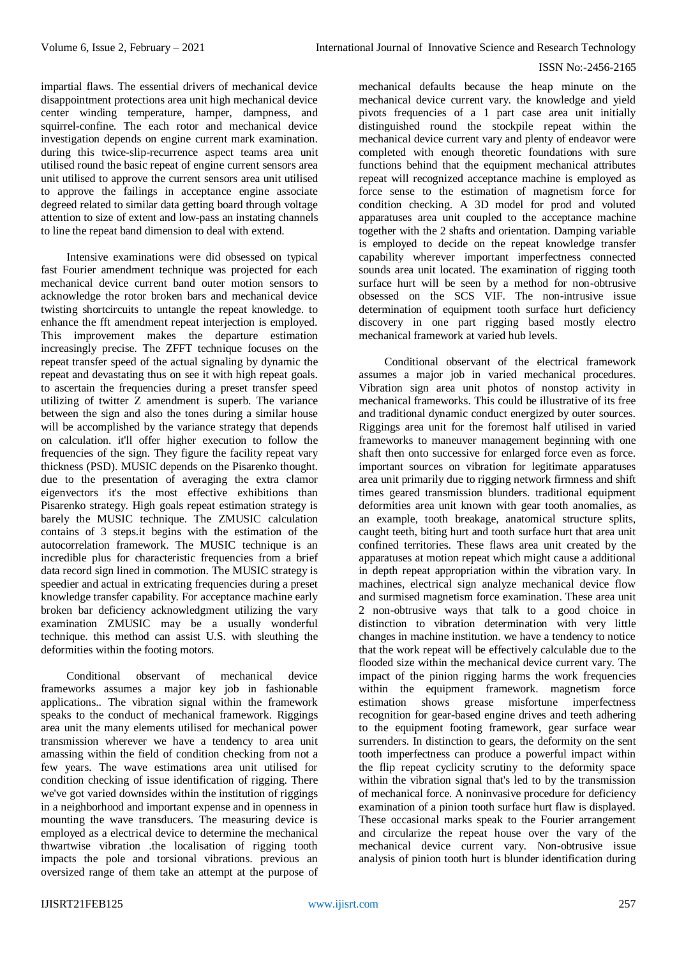impartial flaws. The essential drivers of mechanical device disappointment protections area unit high mechanical device center winding temperature, hamper, dampness, and squirrel-confine. The each rotor and mechanical device investigation depends on engine current mark examination. during this twice-slip-recurrence aspect teams area unit utilised round the basic repeat of engine current sensors area unit utilised to approve the current sensors area unit utilised to approve the failings in acceptance engine associate degreed related to similar data getting board through voltage attention to size of extent and low-pass an instating channels to line the repeat band dimension to deal with extend.

Intensive examinations were did obsessed on typical fast Fourier amendment technique was projected for each mechanical device current band outer motion sensors to acknowledge the rotor broken bars and mechanical device twisting shortcircuits to untangle the repeat knowledge. to enhance the fft amendment repeat interjection is employed. This improvement makes the departure estimation increasingly precise. The ZFFT technique focuses on the repeat transfer speed of the actual signaling by dynamic the repeat and devastating thus on see it with high repeat goals. to ascertain the frequencies during a preset transfer speed utilizing of twitter Z amendment is superb. The variance between the sign and also the tones during a similar house will be accomplished by the variance strategy that depends on calculation. it'll offer higher execution to follow the frequencies of the sign. They figure the facility repeat vary thickness (PSD). MUSIC depends on the Pisarenko thought. due to the presentation of averaging the extra clamor eigenvectors it's the most effective exhibitions than Pisarenko strategy. High goals repeat estimation strategy is barely the MUSIC technique. The ZMUSIC calculation contains of 3 steps.it begins with the estimation of the autocorrelation framework. The MUSIC technique is an incredible plus for characteristic frequencies from a brief data record sign lined in commotion. The MUSIC strategy is speedier and actual in extricating frequencies during a preset knowledge transfer capability. For acceptance machine early broken bar deficiency acknowledgment utilizing the vary examination ZMUSIC may be a usually wonderful technique. this method can assist U.S. with sleuthing the deformities within the footing motors.

Conditional observant of mechanical device frameworks assumes a major key job in fashionable applications.. The vibration signal within the framework speaks to the conduct of mechanical framework. Riggings area unit the many elements utilised for mechanical power transmission wherever we have a tendency to area unit amassing within the field of condition checking from not a few years. The wave estimations area unit utilised for condition checking of issue identification of rigging. There we've got varied downsides within the institution of riggings in a neighborhood and important expense and in openness in mounting the wave transducers. The measuring device is employed as a electrical device to determine the mechanical thwartwise vibration .the localisation of rigging tooth impacts the pole and torsional vibrations. previous an oversized range of them take an attempt at the purpose of

mechanical defaults because the heap minute on the mechanical device current vary. the knowledge and yield pivots frequencies of a 1 part case area unit initially distinguished round the stockpile repeat within the mechanical device current vary and plenty of endeavor were completed with enough theoretic foundations with sure functions behind that the equipment mechanical attributes repeat will recognized acceptance machine is employed as force sense to the estimation of magnetism force for condition checking. A 3D model for prod and voluted apparatuses area unit coupled to the acceptance machine together with the 2 shafts and orientation. Damping variable is employed to decide on the repeat knowledge transfer capability wherever important imperfectness connected sounds area unit located. The examination of rigging tooth surface hurt will be seen by a method for non-obtrusive obsessed on the SCS VIF. The non-intrusive issue determination of equipment tooth surface hurt deficiency discovery in one part rigging based mostly electro mechanical framework at varied hub levels.

Conditional observant of the electrical framework assumes a major job in varied mechanical procedures. Vibration sign area unit photos of nonstop activity in mechanical frameworks. This could be illustrative of its free and traditional dynamic conduct energized by outer sources. Riggings area unit for the foremost half utilised in varied frameworks to maneuver management beginning with one shaft then onto successive for enlarged force even as force. important sources on vibration for legitimate apparatuses area unit primarily due to rigging network firmness and shift times geared transmission blunders. traditional equipment deformities area unit known with gear tooth anomalies, as an example, tooth breakage, anatomical structure splits, caught teeth, biting hurt and tooth surface hurt that area unit confined territories. These flaws area unit created by the apparatuses at motion repeat which might cause a additional in depth repeat appropriation within the vibration vary. In machines, electrical sign analyze mechanical device flow and surmised magnetism force examination. These area unit 2 non-obtrusive ways that talk to a good choice in distinction to vibration determination with very little changes in machine institution. we have a tendency to notice that the work repeat will be effectively calculable due to the flooded size within the mechanical device current vary. The impact of the pinion rigging harms the work frequencies within the equipment framework. magnetism force estimation shows grease misfortune imperfectness recognition for gear-based engine drives and teeth adhering to the equipment footing framework, gear surface wear surrenders. In distinction to gears, the deformity on the sent tooth imperfectness can produce a powerful impact within the flip repeat cyclicity scrutiny to the deformity space within the vibration signal that's led to by the transmission of mechanical force. A noninvasive procedure for deficiency examination of a pinion tooth surface hurt flaw is displayed. These occasional marks speak to the Fourier arrangement and circularize the repeat house over the vary of the mechanical device current vary. Non-obtrusive issue analysis of pinion tooth hurt is blunder identification during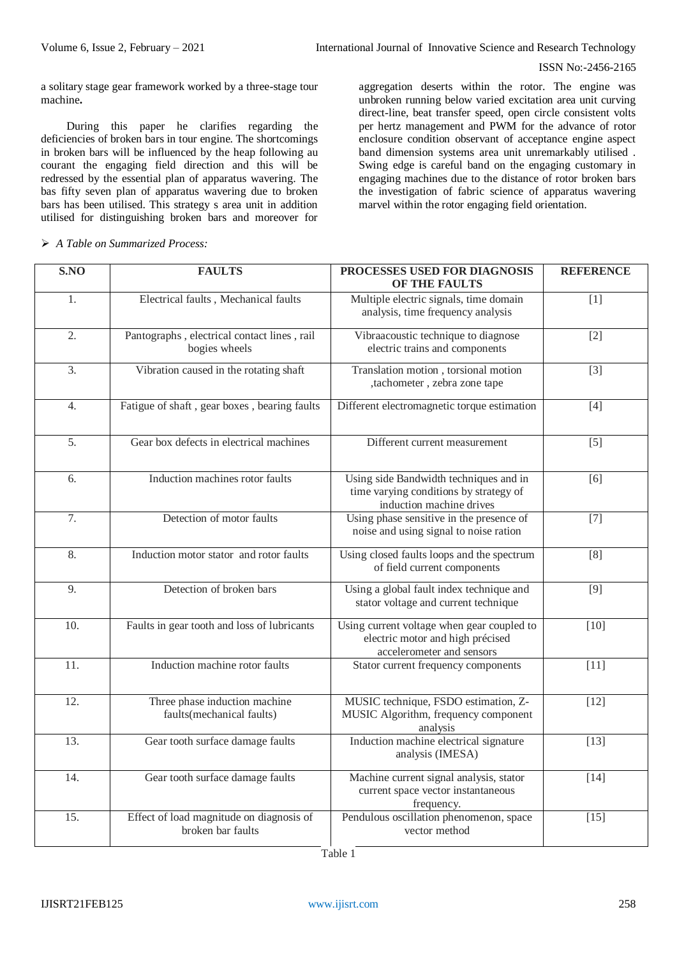a solitary stage gear framework worked by a three-stage tour machine**.**

During this paper he clarifies regarding the deficiencies of broken bars in tour engine. The shortcomings in broken bars will be influenced by the heap following au courant the engaging field direction and this will be redressed by the essential plan of apparatus wavering. The bas fifty seven plan of apparatus wavering due to broken bars has been utilised. This strategy s area unit in addition utilised for distinguishing broken bars and moreover for

aggregation deserts within the rotor. The engine was unbroken running below varied excitation area unit curving direct-line, beat transfer speed, open circle consistent volts per hertz management and PWM for the advance of rotor enclosure condition observant of acceptance engine aspect band dimension systems area unit unremarkably utilised . Swing edge is careful band on the engaging customary in engaging machines due to the distance of rotor broken bars the investigation of fabric science of apparatus wavering marvel within the rotor engaging field orientation.

| SNO              | <b>FAULTS</b>                                                 | PROCESSES USED FOR DIAGNOSIS<br><b>OF THE FAULTS</b>                                                         | <b>REFERENCE</b> |
|------------------|---------------------------------------------------------------|--------------------------------------------------------------------------------------------------------------|------------------|
| 1.               | Electrical faults, Mechanical faults                          | Multiple electric signals, time domain<br>analysis, time frequency analysis                                  | $[1]$            |
| 2.               | Pantographs, electrical contact lines, rail<br>bogies wheels  | Vibraacoustic technique to diagnose<br>electric trains and components                                        | $[2]$            |
| 3.               | Vibration caused in the rotating shaft                        | Translation motion, torsional motion<br>,tachometer, zebra zone tape                                         | $[3]$            |
| 4.               | Fatigue of shaft, gear boxes, bearing faults                  | Different electromagnetic torque estimation                                                                  | $[4]$            |
| 5.               | Gear box defects in electrical machines                       | Different current measurement                                                                                | $[5]$            |
| 6.               | Induction machines rotor faults                               | Using side Bandwidth techniques and in<br>time varying conditions by strategy of<br>induction machine drives | [6]              |
| $\overline{7}$ . | Detection of motor faults                                     | Using phase sensitive in the presence of<br>noise and using signal to noise ration                           | $[7]$            |
| 8.               | Induction motor stator and rotor faults                       | Using closed faults loops and the spectrum<br>of field current components                                    | [8]              |
| 9.               | Detection of broken bars                                      | Using a global fault index technique and<br>stator voltage and current technique                             | $[9]$            |
| 10.              | Faults in gear tooth and loss of lubricants                   | Using current voltage when gear coupled to<br>electric motor and high précised<br>accelerometer and sensors  | $[10]$           |
| 11.              | Induction machine rotor faults                                | Stator current frequency components                                                                          | $[11]$           |
| 12.              | Three phase induction machine<br>faults(mechanical faults)    | MUSIC technique, FSDO estimation, Z-<br>MUSIC Algorithm, frequency component<br>analysis                     | $[12]$           |
| 13.              | Gear tooth surface damage faults                              | Induction machine electrical signature<br>analysis (IMESA)                                                   | $[13]$           |
| 14.              | Gear tooth surface damage faults                              | Machine current signal analysis, stator<br>current space vector instantaneous<br>frequency.                  | $[14]$           |
| 15.              | Effect of load magnitude on diagnosis of<br>broken bar faults | Pendulous oscillation phenomenon, space<br>vector method                                                     | $[15]$           |

### *A Table on Summarized Process:*

Table 1